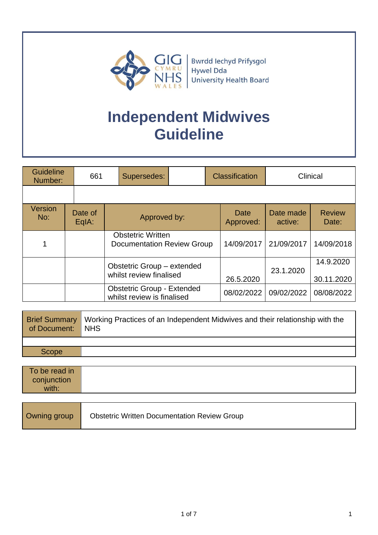

# **Independent Midwives Guideline**

| <b>Guideline</b><br>Number: |  | 661              | Supersedes:                                                     |  | <b>Classification</b> |                      | Clinical                |
|-----------------------------|--|------------------|-----------------------------------------------------------------|--|-----------------------|----------------------|-------------------------|
|                             |  |                  |                                                                 |  |                       |                      |                         |
| Version<br>No:              |  | Date of<br>EqIA: | Approved by:                                                    |  | Date<br>Approved:     | Date made<br>active: | <b>Review</b><br>Date:  |
|                             |  |                  | <b>Obstetric Written</b><br><b>Documentation Review Group</b>   |  | 14/09/2017            | 21/09/2017           | 14/09/2018              |
|                             |  |                  | Obstetric Group - extended<br>whilst review finalised           |  | 26.5.2020             | 23.1.2020            | 14.9.2020<br>30.11.2020 |
|                             |  |                  | <b>Obstetric Group - Extended</b><br>whilst review is finalised |  | 08/02/2022            | 09/02/2022           | 08/08/2022              |

| of Document: NHS | <b>Brief Summary</b> Working Practices of an Independent Midwives and their relationship with the |
|------------------|---------------------------------------------------------------------------------------------------|
|                  |                                                                                                   |
| Scope            |                                                                                                   |
|                  |                                                                                                   |

| To be read in<br>conjunction<br>with: |                                                     |
|---------------------------------------|-----------------------------------------------------|
| Owning group                          | <b>Obstetric Written Documentation Review Group</b> |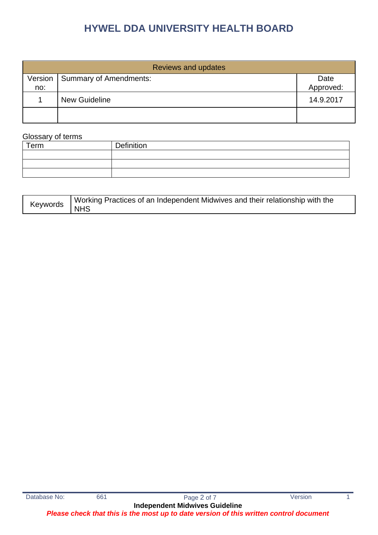| <b>Reviews and updates</b> |                        |                   |  |  |  |
|----------------------------|------------------------|-------------------|--|--|--|
| Version<br>no:             | Summary of Amendments: | Date<br>Approved: |  |  |  |
|                            | <b>New Guideline</b>   | 14.9.2017         |  |  |  |
|                            |                        |                   |  |  |  |

#### Glossary of terms

| Term | Definition |
|------|------------|
|      |            |
|      |            |
|      |            |

| Keywords WOU | Working Practices of an Independent Midwives and their relationship with the |
|--------------|------------------------------------------------------------------------------|
|              |                                                                              |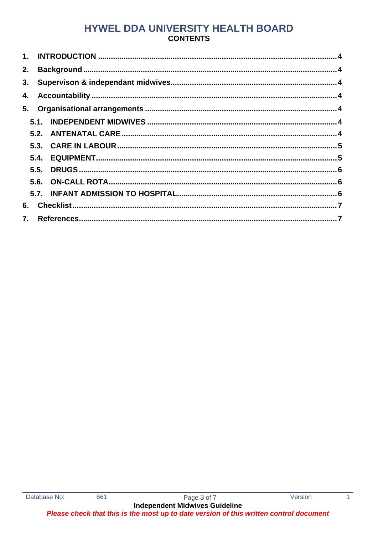### HYWEL DDA UNIVERSITY HEALTH BOARD **CONTENTS**

| 2. |  |  |  |  |  |
|----|--|--|--|--|--|
| 3. |  |  |  |  |  |
|    |  |  |  |  |  |
|    |  |  |  |  |  |
|    |  |  |  |  |  |
|    |  |  |  |  |  |
|    |  |  |  |  |  |
|    |  |  |  |  |  |
|    |  |  |  |  |  |
|    |  |  |  |  |  |
|    |  |  |  |  |  |
| 6. |  |  |  |  |  |
|    |  |  |  |  |  |

 $\overline{1}$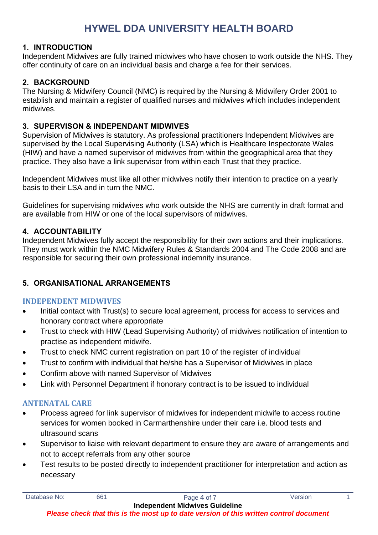### <span id="page-3-0"></span>**1. INTRODUCTION**

Independent Midwives are fully trained midwives who have chosen to work outside the NHS. They offer continuity of care on an individual basis and charge a fee for their services.

### <span id="page-3-1"></span>**2. BACKGROUND**

The Nursing & Midwifery Council (NMC) is required by the Nursing & Midwifery Order 2001 to establish and maintain a register of qualified nurses and midwives which includes independent midwives.

### <span id="page-3-2"></span>**3. SUPERVISON & INDEPENDANT MIDWIVES**

Supervision of Midwives is statutory. As professional practitioners Independent Midwives are supervised by the Local Supervising Authority (LSA) which is Healthcare Inspectorate Wales (HIW) and have a named supervisor of midwives from within the geographical area that they practice. They also have a link supervisor from within each Trust that they practice.

Independent Midwives must like all other midwives notify their intention to practice on a yearly basis to their LSA and in turn the NMC.

Guidelines for supervising midwives who work outside the NHS are currently in draft format and are available from HIW or one of the local supervisors of midwives.

### <span id="page-3-3"></span>**4. ACCOUNTABILITY**

Independent Midwives fully accept the responsibility for their own actions and their implications. They must work within the NMC Midwifery Rules & Standards 2004 and The Code 2008 and are responsible for securing their own professional indemnity insurance.

### <span id="page-3-4"></span>**5. ORGANISATIONAL ARRANGEMENTS**

### <span id="page-3-5"></span>**INDEPENDENT MIDWIVES**

- Initial contact with Trust(s) to secure local agreement, process for access to services and honorary contract where appropriate
- Trust to check with HIW (Lead Supervising Authority) of midwives notification of intention to practise as independent midwife.
- Trust to check NMC current registration on part 10 of the register of individual
- Trust to confirm with individual that he/she has a Supervisor of Midwives in place
- Confirm above with named Supervisor of Midwives
- Link with Personnel Department if honorary contract is to be issued to individual

### <span id="page-3-6"></span>**ANTENATAL CARE**

- Process agreed for link supervisor of midwives for independent midwife to access routine services for women booked in Carmarthenshire under their care i.e. blood tests and ultrasound scans
- Supervisor to liaise with relevant department to ensure they are aware of arrangements and not to accept referrals from any other source
- Test results to be posted directly to independent practitioner for interpretation and action as necessary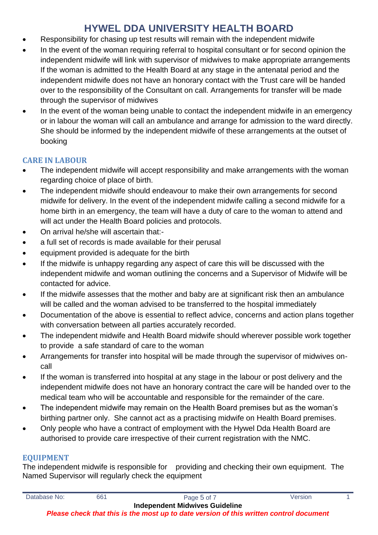- Responsibility for chasing up test results will remain with the independent midwife
- In the event of the woman requiring referral to hospital consultant or for second opinion the independent midwife will link with supervisor of midwives to make appropriate arrangements If the woman is admitted to the Health Board at any stage in the antenatal period and the independent midwife does not have an honorary contact with the Trust care will be handed over to the responsibility of the Consultant on call. Arrangements for transfer will be made through the supervisor of midwives
- In the event of the woman being unable to contact the independent midwife in an emergency or in labour the woman will call an ambulance and arrange for admission to the ward directly. She should be informed by the independent midwife of these arrangements at the outset of booking

### <span id="page-4-0"></span>**CARE IN LABOUR**

- The independent midwife will accept responsibility and make arrangements with the woman regarding choice of place of birth.
- The independent midwife should endeavour to make their own arrangements for second midwife for delivery. In the event of the independent midwife calling a second midwife for a home birth in an emergency, the team will have a duty of care to the woman to attend and will act under the Health Board policies and protocols.
- On arrival he/she will ascertain that:-
- a full set of records is made available for their perusal
- equipment provided is adequate for the birth
- If the midwife is unhappy regarding any aspect of care this will be discussed with the independent midwife and woman outlining the concerns and a Supervisor of Midwife will be contacted for advice.
- If the midwife assesses that the mother and baby are at significant risk then an ambulance will be called and the woman advised to be transferred to the hospital immediately
- Documentation of the above is essential to reflect advice, concerns and action plans together with conversation between all parties accurately recorded.
- The independent midwife and Health Board midwife should wherever possible work together to provide a safe standard of care to the woman
- Arrangements for transfer into hospital will be made through the supervisor of midwives oncall
- If the woman is transferred into hospital at any stage in the labour or post delivery and the independent midwife does not have an honorary contract the care will be handed over to the medical team who will be accountable and responsible for the remainder of the care.
- The independent midwife may remain on the Health Board premises but as the woman's birthing partner only. She cannot act as a practising midwife on Health Board premises.
- Only people who have a contract of employment with the Hywel Dda Health Board are authorised to provide care irrespective of their current registration with the NMC.

### <span id="page-4-1"></span>**EQUIPMENT**

The independent midwife is responsible for providing and checking their own equipment. The Named Supervisor will regularly check the equipment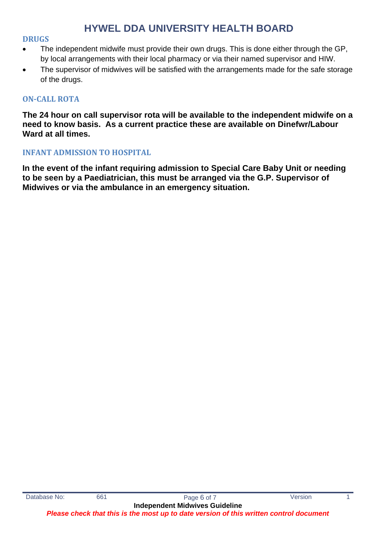#### <span id="page-5-0"></span>**DRUGS**

- The independent midwife must provide their own drugs. This is done either through the GP, by local arrangements with their local pharmacy or via their named supervisor and HIW.
- The supervisor of midwives will be satisfied with the arrangements made for the safe storage of the drugs.

### <span id="page-5-1"></span>**ON-CALL ROTA**

**The 24 hour on call supervisor rota will be available to the independent midwife on a need to know basis. As a current practice these are available on Dinefwr/Labour Ward at all times.**

#### <span id="page-5-2"></span>**INFANT ADMISSION TO HOSPITAL**

**In the event of the infant requiring admission to Special Care Baby Unit or needing to be seen by a Paediatrician, this must be arranged via the G.P. Supervisor of Midwives or via the ambulance in an emergency situation.**